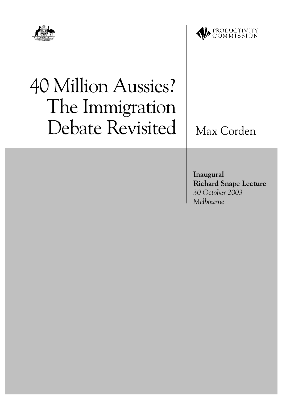



# 40 Million Aussies? The Immigration Debate Revisited

Max Corden

Inaugural **Richard Snape Lecture** 30 October 2003 Melbourne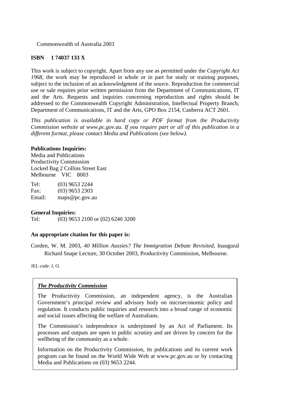Commonwealth of Australia 2003

#### **ISBN 1 74037 133 X**

This work is subject to copyright. Apart from any use as permitted under the *Copyright Act 1968*, the work may be reproduced in whole or in part for study or training purposes, subject to the inclusion of an acknowledgment of the source. Reproduction for commercial use or sale requires prior written permission from the Department of Communications, IT and the Arts. Requests and inquiries concerning reproduction and rights should be addressed to the Commonwealth Copyright Administration, Intellectual Property Branch, Department of Communications, IT and the Arts, GPO Box 2154, Canberra ACT 2601.

*This publication is available in hard copy or PDF format from the Productivity Commission website at www.pc.gov.au. If you require part or all of this publication in a different format, please contact Media and Publications (see below).*

#### **Publications Inquiries:**

Media and Publications Productivity Commission Locked Bag 2 Collins Street East Melbourne VIC 8003

| Tel:   | $(03)$ 9653 2244 |
|--------|------------------|
| Fax:   | $(03)$ 9653 2303 |
| Email: | maps@pc.gov.au   |

#### **General Inquiries:**

Tel: (03) 9653 2100 or (02) 6240 3200

#### **An appropriate citation for this paper is:**

Corden, W. M. 2003, *40 Million Aussies? The Immigration Debate Revisited*, Inaugural Richard Snape Lecture, 30 October 2003, Productivity Commission, Melbourne.

JEL code: J, O.

#### *The Productivity Commission*

The Productivity Commission, an independent agency, is the Australian Government's principal review and advisory body on microeconomic policy and regulation. It conducts public inquiries and research into a broad range of economic and social issues affecting the welfare of Australians.

The Commission's independence is underpinned by an Act of Parliament. Its processes and outputs are open to public scrutiny and are driven by concern for the wellbeing of the community as a whole.

Information on the Productivity Commission, its publications and its current work program can be found on the World Wide Web at www.pc.gov.au or by contacting Media and Publications on (03) 9653 2244.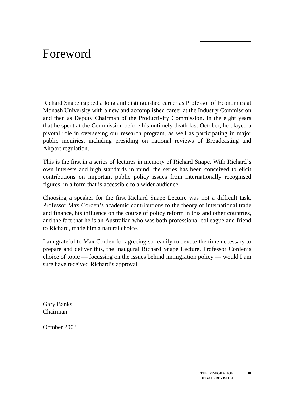# Foreword

Richard Snape capped a long and distinguished career as Professor of Economics at Monash University with a new and accomplished career at the Industry Commission and then as Deputy Chairman of the Productivity Commission. In the eight years that he spent at the Commission before his untimely death last October, he played a pivotal role in overseeing our research program, as well as participating in major public inquiries, including presiding on national reviews of Broadcasting and Airport regulation.

This is the first in a series of lectures in memory of Richard Snape. With Richard's own interests and high standards in mind, the series has been conceived to elicit contributions on important public policy issues from internationally recognised figures, in a form that is accessible to a wider audience.

Choosing a speaker for the first Richard Snape Lecture was not a difficult task. Professor Max Corden's academic contributions to the theory of international trade and finance, his influence on the course of policy reform in this and other countries, and the fact that he is an Australian who was both professional colleague and friend to Richard, made him a natural choice.

I am grateful to Max Corden for agreeing so readily to devote the time necessary to prepare and deliver this, the inaugural Richard Snape Lecture. Professor Corden's choice of topic — focussing on the issues behind immigration policy — would I am sure have received Richard's approval.

Gary Banks Chairman

October 2003

**III**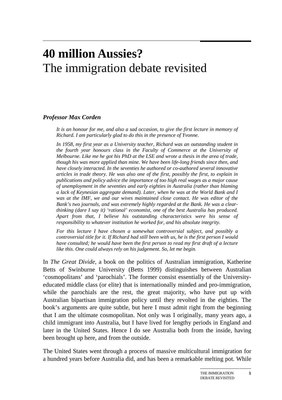# **40 million Aussies?** The immigration debate revisited

#### *Professor Max Corden*

*It is an honour for me, and also a sad occasion, to give the first lecture in memory of Richard. I am particularly glad to do this in the presence of Yvonne.*

*In 1958, my first year as a University teacher, Richard was an outstanding student in the fourth year honours class in the Faculty of Commerce at the University of Melbourne. Like me he got his PhD at the LSE and wrote a thesis in the area of trade, though his was more applied than mine. We have been life-long friends since then, and have closely interacted. In the seventies he authored or co-authored several innovative articles in trade theory. He was also one of the first, possibly the first, to explain in publications and policy advice the importance of too high real wages as a major cause of unemployment in the seventies and early eighties in Australia (rather than blaming a lack of Keynesian aggregate demand). Later, when he was at the World Bank and I was at the IMF, we and our wives maintained close contact. He was editor of the Bank's two journals, and was extremely highly regarded at the Bank. He was a clearthinking (dare I say it) 'rational' economist, one of the best Australia has produced. Apart from that, I believe his outstanding characteristics were his sense of responsibility to whatever institution he worked for, and his absolute integrity.*

*For this lecture I have chosen a somewhat controversial subject, and possibly a controversial title for it. If Richard had still been with us, he is the first person I would have consulted; he would have been the first person to read my first draft of a lecture like this. One could always rely on his judgement. So, let me begin.*

In *The Great Divide*, a book on the politics of Australian immigration, Katherine Betts of Swinburne University (Betts 1999) distinguishes between Australian 'cosmopolitans' and 'parochials'. The former consist essentially of the Universityeducated middle class (or elite) that is internationally minded and pro-immigration, while the parochials are the rest, the great majority, who have put up with Australian bipartisan immigration policy until they revolted in the eighties. The book's arguments are quite subtle, but here I must admit right from the beginning that I am the ultimate cosmopolitan. Not only was I originally, many years ago, a child immigrant into Australia, but I have lived for lengthy periods in England and later in the United States. Hence I do see Australia both from the inside, having been brought up here, and from the outside.

The United States went through a process of massive multicultural immigration for a hundred years before Australia did, and has been a remarkable melting pot. While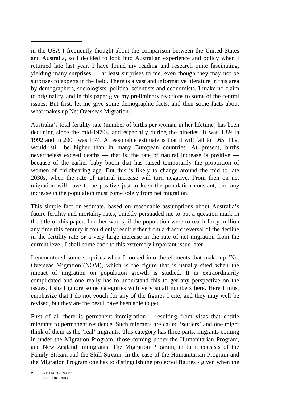in the USA I frequently thought about the comparison between the United States and Australia, so I decided to look into Australian experience and policy when I returned late last year. I have found my reading and research quite fascinating, yielding many surprises — at least surprises to me, even though they may not be surprises to experts in the field. There is a vast and informative literature in this area by demographers, sociologists, political scientists and economists. I make no claim to originality, and in this paper give my preliminary reactions to some of the central issues. But first, let me give some demographic facts, and then some facts about what makes up Net Overseas Migration.

Australia's total fertility rate (number of births per woman in her lifetime) has been declining since the mid-1970s, and especially during the nineties. It was 1.89 in 1992 and in 2001 was 1.74. A reasonable estimate is that it will fall to 1.65. That would still be higher than in many European countries. At present, births nevertheless exceed deaths — that is, the rate of natural increase is positive because of the earlier baby boom that has raised temporarily the proportion of women of childbearing age. But this is likely to change around the mid to late 2030s, when the rate of natural increase will turn negative. From then on net migration will have to be positive just to keep the population constant, and any increase in the population must come solely from net migration.

This simple fact or estimate, based on reasonable assumptions about Australia's future fertility and mortality rates, quickly persuaded me to put a question mark in the title of this paper. In other words, if the population were to reach forty million any time this century it could only result either from a drastic reversal of the decline in the fertility rate or a very large increase in the rate of net migration from the current level. I shall come back to this extremely important issue later.

I encountered some surprises when I looked into the elements that make up 'Net Overseas Migration'(NOM), which is the figure that is usually cited when the impact of migration on population growth is studied. It is extraordinarily complicated and one really has to understand this to get any perspective on the issues. I shall ignore some categories with very small numbers here. Here I must emphasize that I do not vouch for any of the figures I cite, and they may well be revised, but they are the best I have been able to get.

First of all there is permanent immigration – resulting from visas that entitle migrants to permanent residence. Such migrants are called 'settlers' and one might think of them as the 'real' migrants. This category has three parts: migrants coming in under the Migration Program, those coming under the Humanitarian Program, and New Zealand immigrants. The Migration Program, in turn, consists of the Family Stream and the Skill Stream. In the case of the Humanitarian Program and the Migration Program one has to distinguish the projected figures - given when the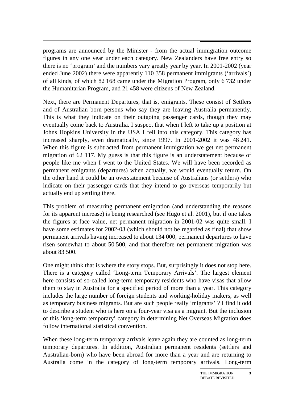programs are announced by the Minister - from the actual immigration outcome figures in any one year under each category. New Zealanders have free entry so there is no 'program' and the numbers vary greatly year by year. In 2001-2002 (year ended June 2002) there were apparently 110 358 permanent immigrants ('arrivals') of all kinds, of which 82 168 came under the Migration Program, only 6 732 under the Humanitarian Program, and 21 458 were citizens of New Zealand.

Next, there are Permanent Departures, that is, emigrants. These consist of Settlers and of Australian born persons who say they are leaving Australia permanently. This is what they indicate on their outgoing passenger cards, though they may eventually come back to Australia. I suspect that when I left to take up a position at Johns Hopkins University in the USA I fell into this category. This category has increased sharply, even dramatically, since 1997. In 2001-2002 it was 48 241. When this figure is subtracted from permanent immigration we get net permanent migration of 62 117. My guess is that this figure is an understatement because of people like me when I went to the United States. We will have been recorded as permanent emigrants (departures) when actually, we would eventually return. On the other hand it could be an overstatement because of Australians (or settlers) who indicate on their passenger cards that they intend to go overseas temporarily but actually end up settling there.

This problem of measuring permanent emigration (and understanding the reasons for its apparent increase) is being researched (see Hugo et al. 2001), but if one takes the figures at face value, net permanent migration in 2001-02 was quite small. I have some estimates for 2002-03 (which should not be regarded as final) that show permanent arrivals having increased to about 134 000, permanent departures to have risen somewhat to about 50 500, and that therefore net permanent migration was about 83 500.

One might think that is where the story stops. But, surprisingly it does not stop here. There is a category called 'Long-term Temporary Arrivals'. The largest element here consists of so-called long-term temporary residents who have visas that allow them to stay in Australia for a specified period of more than a year. This category includes the large number of foreign students and working-holiday makers, as well as temporary business migrants. But are such people really 'migrants' ? I find it odd to describe a student who is here on a four-year visa as a migrant. But the inclusion of this 'long-term temporary' category in determining Net Overseas Migration does follow international statistical convention.

When these long-term temporary arrivals leave again they are counted as long-term temporary departures. In addition, Australian permanent residents (settlers and Australian-born) who have been abroad for more than a year and are returning to Australia come in the category of long-term temporary arrivals. Long-term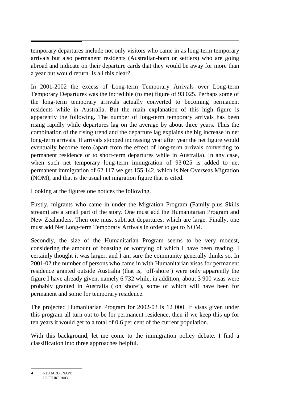temporary departures include not only visitors who came in as long-term temporary arrivals but also permanent residents (Australian-born or settlers) who are going abroad and indicate on their departure cards that they would be away for more than a year but would return. Is all this clear?

In 2001-2002 the excess of Long-term Temporary Arrivals over Long-term Temporary Departures was the incredible (to me) figure of 93 025. Perhaps some of the long-term temporary arrivals actually converted to becoming permanent residents while in Australia. But the main explanation of this high figure is apparently the following. The number of long-term temporary arrivals has been rising rapidly while departures lag on the average by about three years. Thus the combination of the rising trend and the departure lag explains the big increase in net long-term arrivals. If arrivals stopped increasing year after year the net figure would eventually become zero (apart from the effect of long-term arrivals converting to permanent residence or to short-term departures while in Australia). In any case, when such net temporary long-term immigration of 93 025 is added to net permanent immigration of 62 117 we get 155 142, which is Net Overseas Migration (NOM), and that is the usual net migration figure that is cited.

Looking at the figures one notices the following.

Firstly, migrants who came in under the Migration Program (Family plus Skills stream) are a small part of the story. One must add the Humanitarian Program and New Zealanders. Then one must subtract departures, which are large. Finally, one must add Net Long-term Temporary Arrivals in order to get to NOM.

Secondly, the size of the Humanitarian Program seems to be very modest, considering the amount of boasting or worrying of which I have been reading. I certainly thought it was larger, and I am sure the community generally thinks so. In 2001-02 the number of persons who came in with Humanitarian visas for permanent residence granted outside Australia (that is, 'off-shore') were only apparently the figure I have already given, namely 6 732 while, in addition, about 3 900 visas were probably granted in Australia ('on shore'), some of which will have been for permanent and some for temporary residence.

The projected Humanitarian Program for 2002-03 is 12 000. If visas given under this program all turn out to be for permanent residence, then if we keep this up for ten years it would get to a total of 0.6 per cent of the current population.

With this background, let me come to the immigration policy debate. I find a classification into three approaches helpful.

**<sup>4</sup>** RICHARD SNAPE LECTURE 2003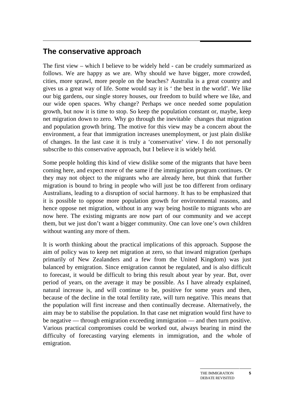#### **The conservative approach**

The first view – which I believe to be widely held - can be crudely summarized as follows. We are happy as we are. Why should we have bigger, more crowded, cities, more sprawl, more people on the beaches? Australia is a great country and gives us a great way of life. Some would say it is ' the best in the world'. We like our big gardens, our single storey houses, our freedom to build where we like, and our wide open spaces. Why change? Perhaps we once needed some population growth, but now it is time to stop. So keep the population constant or, maybe, keep net migration down to zero. Why go through the inevitable changes that migration and population growth bring. The motive for this view may be a concern about the environment, a fear that immigration increases unemployment, or just plain dislike of changes. In the last case it is truly a 'conservative' view. I do not personally subscribe to this conservative approach, but I believe it is widely held.

Some people holding this kind of view dislike some of the migrants that have been coming here, and expect more of the same if the immigration program continues. Or they may not object to the migrants who are already here, but think that further migration is bound to bring in people who will just be too different from ordinary Australians, leading to a disruption of social harmony. It has to be emphasized that it is possible to oppose more population growth for environmental reasons, and hence oppose net migration, without in any way being hostile to migrants who are now here. The existing migrants are now part of our community and we accept them, but we just don't want a bigger community. One can love one's own children without wanting any more of them.

It is worth thinking about the practical implications of this approach. Suppose the aim of policy was to keep net migration at zero, so that inward migration (perhaps primarily of New Zealanders and a few from the United Kingdom) was just balanced by emigration. Since emigration cannot be regulated, and is also difficult to forecast, it would be difficult to bring this result about year by year. But, over period of years, on the average it may be possible. As I have already explained, natural increase is, and will continue to be, positive for some years and then, because of the decline in the total fertility rate, will turn negative. This means that the population will first increase and then continually decrease. Alternatively, the aim may be to stabilise the population. In that case net migration would first have to be negative — through emigration exceeding immigration — and then turn positive. Various practical compromises could be worked out, always bearing in mind the difficulty of forecasting varying elements in immigration, and the whole of emigration.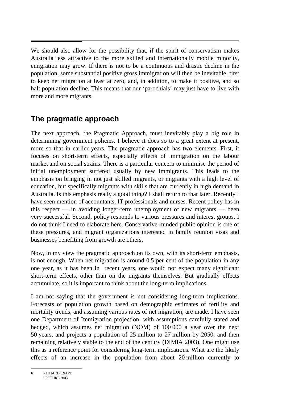We should also allow for the possibility that, if the spirit of conservatism makes Australia less attractive to the more skilled and internationally mobile minority, emigration may grow. If there is not to be a continuous and drastic decline in the population, some substantial positive gross immigration will then be inevitable, first to keep net migration at least at zero, and, in addition, to make it positive, and so halt population decline. This means that our 'parochials' may just have to live with more and more migrants.

## **The pragmatic approach**

The next approach, the Pragmatic Approach, must inevitably play a big role in determining government policies. I believe it does so to a great extent at present, more so that in earlier years. The pragmatic approach has two elements. First, it focuses on short-term effects, especially effects of immigration on the labour market and on social strains. There is a particular concern to minimise the period of initial unemployment suffered usually by new immigrants. This leads to the emphasis on bringing in not just skilled migrants, or migrants with a high level of education, but specifically migrants with skills that are currently in high demand in Australia. Is this emphasis really a good thing? I shall return to that later. Recently I have seen mention of accountants, IT professionals and nurses. Recent policy has in this respect — in avoiding longer-term unemployment of new migrants — been very successful. Second, policy responds to various pressures and interest groups. I do not think I need to elaborate here. Conservative-minded public opinion is one of these pressures, and migrant organizations interested in family reunion visas and businesses benefiting from growth are others.

Now, in my view the pragmatic approach on its own, with its short-term emphasis, is not enough. When net migration is around 0.5 per cent of the population in any one year, as it has been in recent years, one would not expect many significant short-term effects, other than on the migrants themselves. But gradually effects accumulate, so it is important to think about the long-term implications.

I am not saying that the government is not considering long-term implications. Forecasts of population growth based on demographic estimates of fertility and mortality trends, and assuming various rates of net migration, are made. I have seen one Department of Immigration projection, with assumptions carefully stated and hedged, which assumes net migration (NOM) of 100 000 a year over the next 50 years, and projects a population of 25 million to 27 million by 2050, and then remaining relatively stable to the end of the century (DIMIA 2003). One might use this as a reference point for considering long-term implications. What are the likely effects of an increase in the population from about 20 million currently to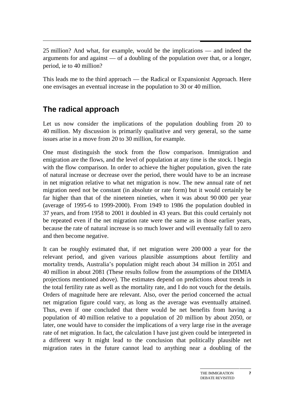25 million? And what, for example, would be the implications — and indeed the arguments for and against — of a doubling of the population over that, or a longer, period, ie to 40 million?

This leads me to the third approach — the Radical or Expansionist Approach. Here one envisages an eventual increase in the population to 30 or 40 million.

## **The radical approach**

Let us now consider the implications of the population doubling from 20 to 40 million. My discussion is primarily qualitative and very general, so the same issues arise in a move from 20 to 30 million, for example.

One must distinguish the stock from the flow comparison. Immigration and emigration are the flows, and the level of population at any time is the stock. I begin with the flow comparison. In order to achieve the higher population, given the rate of natural increase or decrease over the period, there would have to be an increase in net migration relative to what net migration is now. The new annual rate of net migration need not be constant (in absolute or rate form) but it would certainly be far higher than that of the nineteen nineties, when it was about 90 000 per year (average of 1995-6 to 1999-2000). From 1949 to 1986 the population doubled in 37 years, and from 1958 to 2001 it doubled in 43 years. But this could certainly not be repeated even if the net migration rate were the same as in those earlier years, because the rate of natural increase is so much lower and will eventually fall to zero and then become negative.

It can be roughly estimated that, if net migration were 200 000 a year for the relevant period, and given various plausible assumptions about fertility and mortality trends, Australia's population might reach about 34 million in 2051 and 40 million in about 2081 (These results follow from the assumptions of the DIMIA projections mentioned above). The estimates depend on predictions about trends in the total fertility rate as well as the mortality rate, and I do not vouch for the details. Orders of magnitude here are relevant. Also, over the period concerned the actual net migration figure could vary, as long as the average was eventually attained. Thus, even if one concluded that there would be net benefits from having a population of 40 million relative to a population of 20 million by about 2050, or later, one would have to consider the implications of a very large rise in the average rate of net migration. In fact, the calculation I have just given could be interpreted in a different way It might lead to the conclusion that politically plausible net migration rates in the future cannot lead to anything near a doubling of the

**7**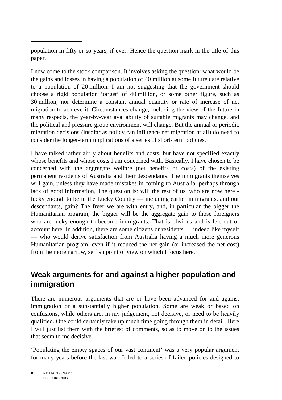population in fifty or so years, if ever. Hence the question-mark in the title of this paper.

I now come to the stock comparison. It involves asking the question: what would be the gains and losses in having a population of 40 million at some future date relative to a population of 20 million. I am not suggesting that the government should choose a rigid population 'target' of 40 million, or some other figure, such as 30 million, nor determine a constant annual quantity or rate of increase of net migration to achieve it. Circumstances change, including the view of the future in many respects, the year-by-year availability of suitable migrants may change, and the political and pressure group environment will change. But the annual or periodic migration decisions (insofar as policy can influence net migration at all) do need to consider the longer-term implications of a series of short-term policies.

I have talked rather airily about benefits and costs, but have not specified exactly whose benefits and whose costs I am concerned with. Basically, I have chosen to be concerned with the aggregate welfare (net benefits or costs) of the existing permanent residents of Australia and their descendants. The immigrants themselves will gain, unless they have made mistakes in coming to Australia, perhaps through lack of good information, The question is: will the rest of us, who are now here lucky enough to be in the Lucky Country — including earlier immigrants, and our descendants, gain? The freer we are with entry, and, in particular the bigger the Humanitarian program, the bigger will be the aggregate gain to those foreigners who are lucky enough to become immigrants. That is obvious and is left out of account here. In addition, there are some citizens or residents — indeed like myself — who would derive satisfaction from Australia having a much more generous Humanitarian program, even if it reduced the net gain (or increased the net cost) from the more narrow, selfish point of view on which I focus here.

## **Weak arguments for and against a higher population and immigration**

There are numerous arguments that are or have been advanced for and against immigration or a substantially higher population. Some are weak or based on confusions, while others are, in my judgement, not decisive, or need to be heavily qualified. One could certainly take up much time going through them in detail. Here I will just list them with the briefest of comments, so as to move on to the issues that seem to me decisive.

'Populating the empty spaces of our vast continent' was a very popular argument for many years before the last war. It led to a series of failed policies designed to

**<sup>8</sup>** RICHARD SNAPE LECTURE 2003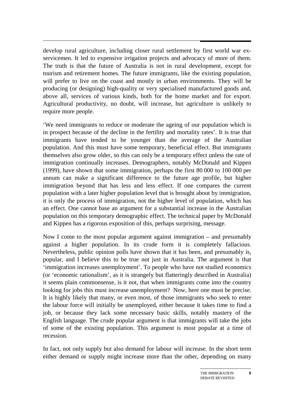develop rural agriculture, including closer rural settlement by first world war exservicemen. It led to expensive irrigation projects and advocacy of more of them. The truth is that the future of Australia is not in rural development, except for tourism and retirement homes. The future immigrants, like the existing population, will prefer to live on the coast and mostly in urban environments. They will be producing (or designing) high-quality or very specialised manufactured goods and, above all, services of various kinds, both for the home market and for export. Agricultural productivity, no doubt, will increase, but agriculture is unlikely to require more people.

'We need immigrants to reduce or moderate the ageing of our population which is in prospect because of the decline in the fertility and mortality rates'. It is true that immigrants have tended to be younger than the average of the Australian population. And this must have some temporary, beneficial effect. But immigrants themselves also grow older, so this can only be a temporary effect unless the rate of immigration continually increases. Demographers, notably McDonald and Kippen (1999), have shown that some immigration, perhaps the first 80 000 to 100 000 per annum can make a significant difference to the future age profile, but higher immigration beyond that has less and less effect. If one compares the current population with a later higher population level that is brought about by immigration, it is only the process of immigration, not the higher level of population, which has an effect. One cannot base an argument for a substantial increase in the Australian population on this temporary demographic effect. The technical paper by McDonald and Kippen has a rigorous exposition of this, perhaps surprising, message.

Now I come to the most popular argument against immigration – and presumably against a higher population. In its crude form it is completely fallacious. Nevertheless, public opinion polls have shown that it has been, and presumably is, popular, and I believe this to be true not just in Australia. The argument is that 'immigration increases unemployment'. To people who have not studied economics (or 'economic rationalism', as it is strangely but flatteringly described in Australia) it seems plain commonsense, is it not, that when immigrants come into the country looking for jobs this must increase unemployment? Now, here one must be precise. It is highly likely that many, or even most, of those immigrants who seek to enter the labour force will initially be unemployed, either because it takes time to find a job, or because they lack some necessary basic skills, notably mastery of the English language. The crude popular argument is that immigrants will take the jobs of some of the existing population. This argument is most popular at a time of recession.

In fact, not only supply but also demand for labour will increase. In the short term either demand or supply might increase more than the other, depending on many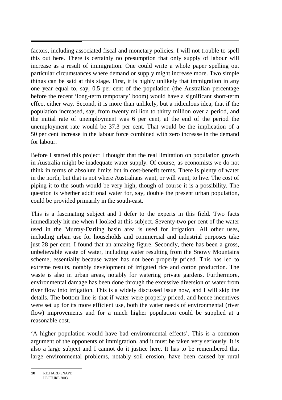factors, including associated fiscal and monetary policies. I will not trouble to spell this out here. There is certainly no presumption that only supply of labour will increase as a result of immigration. One could write a whole paper spelling out particular circumstances where demand or supply might increase more. Two simple things can be said at this stage. First, it is highly unlikely that immigration in any one year equal to, say, 0.5 per cent of the population (the Australian percentage before the recent 'long-term temporary' boom) would have a significant short-term effect either way. Second, it is more than unlikely, but a ridiculous idea, that if the population increased, say, from twenty million to thirty million over a period, and the initial rate of unemployment was 6 per cent, at the end of the period the unemployment rate would be 37.3 per cent. That would be the implication of a 50 per cent increase in the labour force combined with zero increase in the demand for labour.

Before I started this project I thought that the real limitation on population growth in Australia might be inadequate water supply. Of course, as economists we do not think in terms of absolute limits but in cost-benefit terms. There is plenty of water in the north, but that is not where Australians want, or will want, to live. The cost of piping it to the south would be very high, though of course it is a possibility. The question is whether additional water for, say, double the present urban population, could be provided primarily in the south-east.

This is a fascinating subject and I defer to the experts in this field. Two facts immediately hit me when I looked at this subject. Seventy-two per cent of the water used in the Murray-Darling basin area is used for irrigation. All other uses, including urban use for households and commercial and industrial purposes take just 28 per cent. I found that an amazing figure. Secondly, there has been a gross, unbelievable waste of water, including water resulting from the Snowy Mountains scheme, essentially because water has not been properly priced. This has led to extreme results, notably development of irrigated rice and cotton production. The waste is also in urban areas, notably for watering private gardens. Furthermore, environmental damage has been done through the excessive diversion of water from river flow into irrigation. This is a widely discussed issue now, and I will skip the details. The bottom line is that if water were properly priced, and hence incentives were set up for its more efficient use, both the water needs of environmental (river flow) improvements and for a much higher population could be supplied at a reasonable cost.

'A higher population would have bad environmental effects'. This is a common argument of the opponents of immigration, and it must be taken very seriously. It is also a large subject and I cannot do it justice here. It has to be remembered that large environmental problems, notably soil erosion, have been caused by rural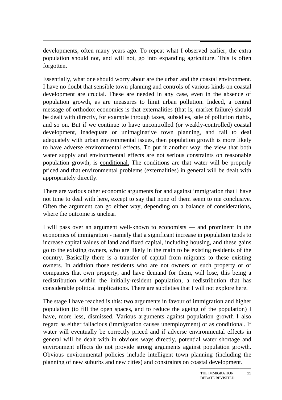developments, often many years ago. To repeat what I observed earlier, the extra population should not, and will not, go into expanding agriculture. This is often forgotten.

Essentially, what one should worry about are the urban and the coastal environment. I have no doubt that sensible town planning and controls of various kinds on coastal development are crucial. These are needed in any case, even in the absence of population growth, as are measures to limit urban pollution. Indeed, a central message of orthodox economics is that externalities (that is, market failure) should be dealt with directly, for example through taxes, subsidies, sale of pollution rights, and so on. But if we continue to have uncontrolled (or weakly-controlled) coastal development, inadequate or unimaginative town planning, and fail to deal adequately with urban environmental issues, then population growth is more likely to have adverse environmental effects. To put it another way: the view that both water supply and environmental effects are not serious constraints on reasonable population growth, is conditional. The conditions are that water will be properly priced and that environmental problems (externalities) in general will be dealt with appropriately directly.

There are various other economic arguments for and against immigration that I have not time to deal with here, except to say that none of them seem to me conclusive. Often the argument can go either way, depending on a balance of considerations, where the outcome is unclear.

I will pass over an argument well-known to economists — and prominent in the economics of immigration - namely that a significant increase in population tends to increase capital values of land and fixed capital, including housing, and these gains go to the existing owners, who are likely in the main to be existing residents of the country. Basically there is a transfer of capital from migrants to these existing owners. In addition those residents who are not owners of such property or of companies that own property, and have demand for them, will lose, this being a redistribution within the initially-resident population, a redistribution that has considerable political implications. There are subtleties that I will not explore here.

The stage I have reached is this: two arguments in favour of immigration and higher population (to fill the open spaces, and to reduce the ageing of the population) I have, more less, dismissed. Various arguments against population growth I also regard as either fallacious (immigration causes unemployment) or as conditional. If water will eventually be correctly priced and if adverse environmental effects in general will be dealt with in obvious ways directly, potential water shortage and environment effects do not provide strong arguments against population growth. Obvious environmental policies include intelligent town planning (including the planning of new suburbs and new cities) and constraints on coastal development.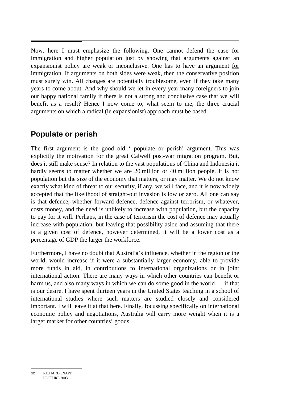Now, here I must emphasize the following. One cannot defend the case for immigration and higher population just by showing that arguments against an expansionist policy are weak or inconclusive. One has to have an argument for immigration. If arguments on both sides were weak, then the conservative position must surely win. All changes are potentially troublesome, even if they take many years to come about. And why should we let in every year many foreigners to join our happy national family if there is not a strong and conclusive case that we will benefit as a result? Hence I now come to, what seem to me, the three crucial arguments on which a radical (ie expansionist) approach must be based.

## **Populate or perish**

The first argument is the good old ' populate or perish' argument. This was explicitly the motivation for the great Calwell post-war migration program. But, does it still make sense? In relation to the vast populations of China and Indonesia it hardly seems to matter whether we are 20 million or 40 million people. It is not population but the size of the economy that matters, or may matter. We do not know exactly what kind of threat to our security, if any, we will face, and it is now widely accepted that the likelihood of straight-out invasion is low or zero. All one can say is that defence, whether forward defence, defence against terrorism, or whatever, costs money, and the need is unlikely to increase with population, but the capacity to pay for it will. Perhaps, in the case of terrorism the cost of defence may actually increase with population, but leaving that possibility aside and assuming that there is a given cost of defence, however determined, it will be a lower cost as a percentage of GDP the larger the workforce.

Furthermore, I have no doubt that Australia's influence, whether in the region or the world, would increase if it were a substantially larger economy, able to provide more funds in aid, in contributions to international organizations or in joint international action. There are many ways in which other countries can benefit or harm us, and also many ways in which we can do some good in the world — if that is our desire. I have spent thirteen years in the United States teaching in a school of international studies where such matters are studied closely and considered important. I will leave it at that here. Finally, focussing specifically on international economic policy and negotiations, Australia will carry more weight when it is a larger market for other countries' goods.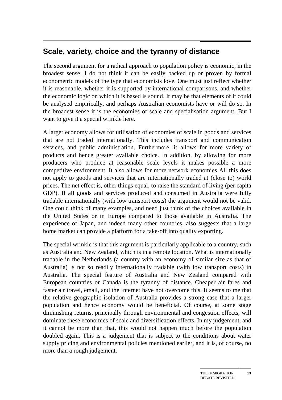## **Scale, variety, choice and the tyranny of distance**

The second argument for a radical approach to population policy is economic, in the broadest sense. I do not think it can be easily backed up or proven by formal econometric models of the type that economists love. One must just reflect whether it is reasonable, whether it is supported by international comparisons, and whether the economic logic on which it is based is sound. It may be that elements of it could be analysed empirically, and perhaps Australian economists have or will do so. In the broadest sense it is the economies of scale and specialisation argument. But I want to give it a special wrinkle here.

A larger economy allows for utilisation of economies of scale in goods and services that are not traded internationally. This includes transport and communication services, and public administration. Furthermore, it allows for more variety of products and hence greater available choice. In addition, by allowing for more producers who produce at reasonable scale levels it makes possible a more competitive environment. It also allows for more network economies All this does not apply to goods and services that are internationally traded at (close to) world prices. The net effect is, other things equal, to raise the standard of living (per capita GDP). If all goods and services produced and consumed in Australia were fully tradable internationally (with low transport costs) the argument would not be valid. One could think of many examples, and need just think of the choices available in the United States or in Europe compared to those available in Australia. The experience of Japan, and indeed many other countries, also suggests that a large home market can provide a platform for a take-off into quality exporting.

The special wrinkle is that this argument is particularly applicable to a country, such as Australia and New Zealand, which is in a remote location. What is internationally tradable in the Netherlands (a country with an economy of similar size as that of Australia) is not so readily internationally tradable (with low transport costs) in Australia. The special feature of Australia and New Zealand compared with European countries or Canada is the tyranny of distance. Cheaper air fares and faster air travel, email, and the Internet have not overcome this. It seems to me that the relative geographic isolation of Australia provides a strong case that a larger population and hence economy would be beneficial. Of course, at some stage diminishing returns, principally through environmental and congestion effects, will dominate these economies of scale and diversification effects. In my judgement, and it cannot be more than that, this would not happen much before the population doubled again. This is a judgement that is subject to the conditions about water supply pricing and environmental policies mentioned earlier, and it is, of course, no more than a rough judgement.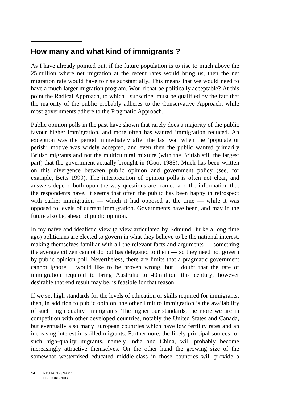# **How many and what kind of immigrants ?**

As I have already pointed out, if the future population is to rise to much above the 25 million where net migration at the recent rates would bring us, then the net migration rate would have to rise substantially. This means that we would need to have a much larger migration program. Would that be politically acceptable? At this point the Radical Approach, to which I subscribe, must be qualified by the fact that the majority of the public probably adheres to the Conservative Approach, while most governments adhere to the Pragmatic Approach.

Public opinion polls in the past have shown that rarely does a majority of the public favour higher immigration, and more often has wanted immigration reduced. An exception was the period immediately after the last war when the 'populate or perish' motive was widely accepted, and even then the public wanted primarily British migrants and not the multicultural mixture (with the British still the largest part) that the government actually brought in (Goot 1988). Much has been written on this divergence between public opinion and government policy (see, for example, Betts 1999). The interpretation of opinion polls is often not clear, and answers depend both upon the way questions are framed and the information that the respondents have. It seems that often the public has been happy in retrospect with earlier immigration — which it had opposed at the time — while it was opposed to levels of current immigration. Governments have been, and may in the future also be, ahead of public opinion.

In my naïve and idealistic view (a view articulated by Edmund Burke a long time ago) politicians are elected to govern in what they believe to be the national interest, making themselves familiar with all the relevant facts and arguments — something the average citizen cannot do but has delegated to them — so they need not govern by public opinion poll. Nevertheless, there are limits that a pragmatic government cannot ignore. I would like to be proven wrong, but I doubt that the rate of immigration required to bring Australia to 40 million this century, however desirable that end result may be, is feasible for that reason.

If we set high standards for the levels of education or skills required for immigrants, then, in addition to public opinion, the other limit to immigration is the availability of such 'high quality' immigrants. The higher our standards, the more we are in competition with other developed countries, notably the United States and Canada, but eventually also many European countries which have low fertility rates and an increasing interest in skilled migrants. Furthermore, the likely principal sources for such high-quality migrants, namely India and China, will probably become increasingly attractive themselves. On the other hand the growing size of the somewhat westernised educated middle-class in those countries will provide a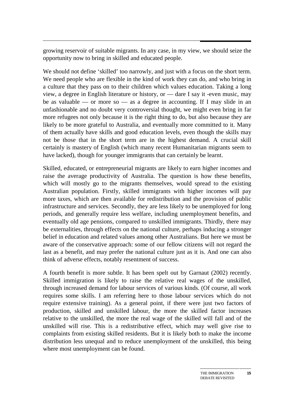growing reservoir of suitable migrants. In any case, in my view, we should seize the opportunity now to bring in skilled and educated people.

We should not define 'skilled' too narrowly, and just with a focus on the short term. We need people who are flexible in the kind of work they can do, and who bring in a culture that they pass on to their children which values education. Taking a long view, a degree in English literature or history, or — dare I say it -even music, may be as valuable — or more so — as a degree in accounting. If I may slide in an unfashionable and no doubt very controversial thought, we might even bring in far more refugees not only because it is the right thing to do, but also because they are likely to be more grateful to Australia, and eventually more committed to it. Many of them actually have skills and good education levels, even though the skills may not be those that in the short term are in the highest demand. A crucial skill certainly is mastery of English (which many recent Humanitarian migrants seem to have lacked), though for younger immigrants that can certainly be learnt.

Skilled, educated, or entrepreneurial migrants are likely to earn higher incomes and raise the average productivity of Australia. The question is how these benefits, which will mostly go to the migrants themselves, would spread to the existing Australian population. Firstly, skilled immigrants with higher incomes will pay more taxes, which are then available for redistribution and the provision of public infrastructure and services. Secondly, they are less likely to be unemployed for long periods, and generally require less welfare, including unemployment benefits, and eventually old age pensions, compared to unskilled immigrants. Thirdly, there may be externalities, through effects on the national culture, perhaps inducing a stronger belief in education and related values among other Australians. But here we must be aware of the conservative approach: some of our fellow citizens will not regard the last as a benefit, and may prefer the national culture just as it is. And one can also think of adverse effects, notably resentment of success.

A fourth benefit is more subtle. It has been spelt out by Garnaut (2002) recently. Skilled immigration is likely to raise the relative real wages of the unskilled, through increased demand for labour services of various kinds. (Of course, all work requires some skills. I am referring here to those labour services which do not require extensive training). As a general point, if there were just two factors of production, skilled and unskilled labour, the more the skilled factor increases relative to the unskilled, the more the real wage of the skilled will fall and of the unskilled will rise. This is a redistributive effect, which may well give rise to complaints from existing skilled residents. But it is likely both to make the income distribution less unequal and to reduce unemployment of the unskilled, this being where most unemployment can be found.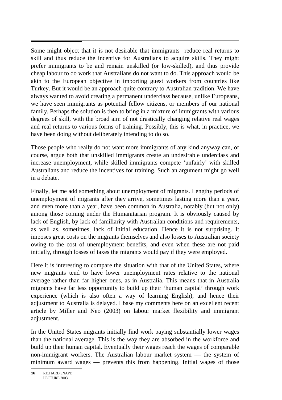Some might object that it is not desirable that immigrants reduce real returns to skill and thus reduce the incentive for Australians to acquire skills. They might prefer immigrants to be and remain unskilled (or low-skilled), and thus provide cheap labour to do work that Australians do not want to do. This approach would be akin to the European objective in importing guest workers from countries like Turkey. But it would be an approach quite contrary to Australian tradition. We have always wanted to avoid creating a permanent underclass because, unlike Europeans, we have seen immigrants as potential fellow citizens, or members of our national family. Perhaps the solution is then to bring in a mixture of immigrants with various degrees of skill, with the broad aim of not drastically changing relative real wages and real returns to various forms of training. Possibly, this is what, in practice, we have been doing without deliberately intending to do so.

Those people who really do not want more immigrants of any kind anyway can, of course, argue both that unskilled immigrants create an undesirable underclass and increase unemployment, while skilled immigrants compete 'unfairly' with skilled Australians and reduce the incentives for training. Such an argument might go well in a debate.

Finally, let me add something about unemployment of migrants. Lengthy periods of unemployment of migrants after they arrive, sometimes lasting more than a year, and even more than a year, have been common in Australia, notably (but not only) among those coming under the Humanitarian program. It is obviously caused by lack of English, by lack of familiarity with Australian conditions and requirements, as well as, sometimes, lack of initial education. Hence it is not surprising. It imposes great costs on the migrants themselves and also losses to Australian society owing to the cost of unemployment benefits, and even when these are not paid initially, through losses of taxes the migrants would pay if they were employed.

Here it is interesting to compare the situation with that of the United States, where new migrants tend to have lower unemployment rates relative to the national average rather than far higher ones, as in Australia. This means that in Australia migrants have far less opportunity to build up their 'human capital' through work experience (which is also often a way of learning English), and hence their adjustment to Australia is delayed. I base my comments here on an excellent recent article by Miller and Neo (2003) on labour market flexibility and immigrant adjustment.

In the United States migrants initially find work paying substantially lower wages than the national average. This is the way they are absorbed in the workforce and build up their human capital. Eventually their wages reach the wages of comparable non-immigrant workers. The Australian labour market system — the system of minimum award wages — prevents this from happening. Initial wages of those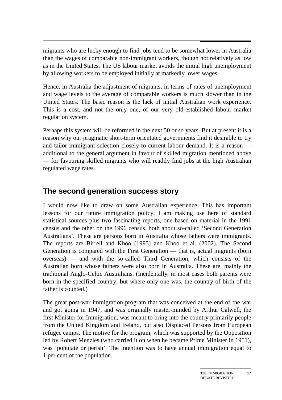migrants who are lucky enough to find jobs tend to be somewhat lower in Australia than the wages of comparable non-immigrant workers, though not relatively as low as in the United States. The US labour market avoids the initial high unemployment by allowing workers to be employed initially at markedly lower wages.

Hence, in Australia the adjustment of migrants, in terms of rates of unemployment and wage levels to the average of comparable workers is much slower than in the United States. The basic reason is the lack of initial Australian work experience. This is a cost, and not the only one, of our very old-established labour market regulation system.

Perhaps this system will be reformed in the next 50 or so years. But at present it is a reason why our pragmatic short-term orientated governments find it desirable to try and tailor immigrant selection closely to current labour demand. It is a reason additional to the general argument in favour of skilled migration mentioned above — for favouring skilled migrants who will readily find jobs at the high Australian regulated wage rates.

## **The second generation success story**

I would now like to draw on some Australian experience. This has important lessons for our future immigration policy. I am making use here of standard statistical sources plus two fascinating reports, one based on material in the 1991 census and the other on the 1996 census, both about so-called 'Second Generation Australians'. These are persons born in Australia whose fathers were immigrants. The reports are Birrell and Khoo (1995) and Khoo et al. (2002). The Second Generation is compared with the First Generation — that is, actual migrants (born overseas) — and with the so-called Third Generation, which consists of the Australian born whose fathers were also born in Australia. These are, mainly the traditional Anglo-Celtic Australians. (Incidentally, in most cases both parents were born in the specified country, but where only one was, the country of birth of the father is counted.)

The great post-war immigration program that was conceived at the end of the war and got going in 1947, and was originally master-minded by Arthur Calwell, the first Minister for Immigration, was meant to bring into the country primarily people from the United Kingdom and Ireland, but also Displaced Persons from European refugee camps. The motive for the program, which was supported by the Opposition led by Robert Menzies (who carried it on when he became Prime Minister in 1951), was 'populate or perish'. The intention was to have annual immigration equal to 1 per cent of the population.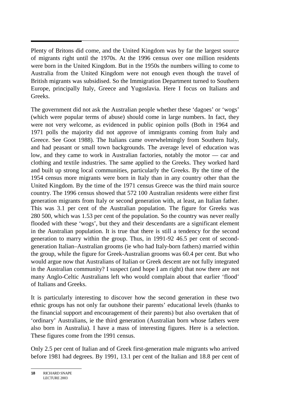Plenty of Britons did come, and the United Kingdom was by far the largest source of migrants right until the 1970s. At the 1996 census over one million residents were born in the United Kingdom. But in the 1950s the numbers willing to come to Australia from the United Kingdom were not enough even though the travel of British migrants was subsidised. So the Immigration Department turned to Southern Europe, principally Italy, Greece and Yugoslavia. Here I focus on Italians and Greeks.

The government did not ask the Australian people whether these 'dagoes' or 'wogs' (which were popular terms of abuse) should come in large numbers. In fact, they were not very welcome, as evidenced in public opinion polls (Both in 1964 and 1971 polls the majority did not approve of immigrants coming from Italy and Greece. See Goot 1988). The Italians came overwhelmingly from Southern Italy, and had peasant or small town backgrounds. The average level of education was low, and they came to work in Australian factories, notably the motor — car and clothing and textile industries. The same applied to the Greeks. They worked hard and built up strong local communities, particularly the Greeks. By the time of the 1954 census more migrants were born in Italy than in any country other than the United Kingdom. By the time of the 1971 census Greece was the third main source country. The 1996 census showed that 572 100 Australian residents were either first generation migrants from Italy or second generation with, at least, an Italian father. This was 3.1 per cent of the Australian population. The figure for Greeks was 280 500, which was 1.53 per cent of the population. So the country was never really flooded with these 'wogs', but they and their descendants are a significant element in the Australian population. It is true that there is still a tendency for the second generation to marry within the group. Thus, in 1991-92 46.5 per cent of secondgeneration Italian–Australian grooms (ie who had Italy-born fathers) married within the group, while the figure for Greek-Australian grooms was 60.4 per cent. But who would argue now that Australians of Italian or Greek descent are not fully integrated in the Australian community? I suspect (and hope I am right) that now there are not many Anglo-Celtic Australians left who would complain about that earlier 'flood' of Italians and Greeks.

It is particularly interesting to discover how the second generation in these two ethnic groups has not only far outshone their parents' educational levels (thanks to the financial support and encouragement of their parents) but also overtaken that of 'ordinary' Australians, ie the third generation (Australian born whose fathers were also born in Australia). I have a mass of interesting figures. Here is a selection. These figures come from the 1991 census.

Only 2.5 per cent of Italian and of Greek first-generation male migrants who arrived before 1981 had degrees. By 1991, 13.1 per cent of the Italian and 18.8 per cent of

**<sup>18</sup>** RICHARD SNAPE LECTURE 2003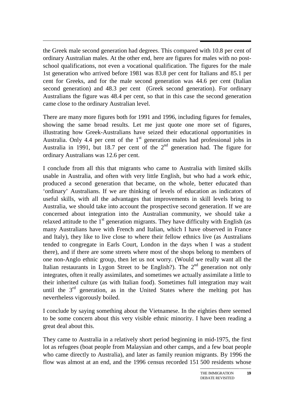the Greek male second generation had degrees. This compared with 10.8 per cent of ordinary Australian males. At the other end, here are figures for males with no postschool qualifications, not even a vocational qualification. The figures for the male 1st generation who arrived before 1981 was 83.8 per cent for Italians and 85.1 per cent for Greeks, and for the male second generation was 44.6 per cent (Italian second generation) and 48.3 per cent (Greek second generation). For ordinary Australians the figure was 48.4 per cent, so that in this case the second generation came close to the ordinary Australian level.

There are many more figures both for 1991 and 1996, including figures for females, showing the same broad results. Let me just quote one more set of figures, illustrating how Greek-Australians have seized their educational opportunities in Australia. Only 4.4 per cent of the  $1<sup>st</sup>$  generation males had professional jobs in Australia in 1991, but 18.7 per cent of the  $2<sup>nd</sup>$  generation had. The figure for ordinary Australians was 12.6 per cent.

I conclude from all this that migrants who came to Australia with limited skills usable in Australia, and often with very little English, but who had a work ethic, produced a second generation that became, on the whole, better educated than 'ordinary' Australians. If we are thinking of levels of education as indicators of useful skills, with all the advantages that improvements in skill levels bring to Australia, we should take into account the prospective second generation. If we are concerned about integration into the Australian community, we should take a relaxed attitude to the  $1<sup>st</sup>$  generation migrants. They have difficulty with English (as many Australians have with French and Italian, which I have observed in France and Italy), they like to live close to where their fellow ethnics live (as Australians tended to congregate in Earls Court, London in the days when I was a student there), and if there are some streets where most of the shops belong to members of one non-Anglo ethnic group, then let us not worry. (Would we really want all the Italian restaurants in Lygon Street to be English?). The  $2<sup>nd</sup>$  generation not only integrates, often it really assimilates, and sometimes we actually assimilate a little to their inherited culture (as with Italian food). Sometimes full integration may wait until the  $3<sup>rd</sup>$  generation, as in the United States where the melting pot has nevertheless vigorously boiled.

I conclude by saying something about the Vietnamese. In the eighties there seemed to be some concern about this very visible ethnic minority. I have been reading a great deal about this.

They came to Australia in a relatively short period beginning in mid-1975, the first lot as refugees (boat people from Malaysian and other camps, and a few boat people who came directly to Australia), and later as family reunion migrants. By 1996 the flow was almost at an end, and the 1996 census recorded 151 500 residents whose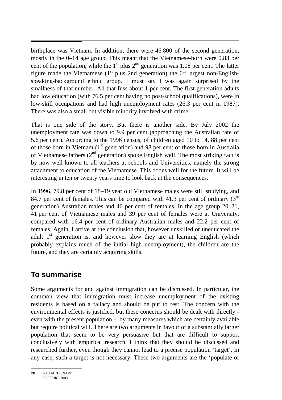birthplace was Vietnam. In addition, there were 46 800 of the second generation, mostly in the 0–14 age group. This meant that the Vietnamese-born were 0.83 per cent of the population, while the  $1<sup>st</sup>$  plus  $2<sup>nd</sup>$  generation was 1.08 per cent. The latter figure made the Vietnamese ( $1<sup>st</sup>$  plus 2nd generation) the  $6<sup>th</sup>$  largest non-Englishspeaking-background ethnic group. I must say I was again surprised by the smallness of that number. All that fuss about 1 per cent. The first generation adults had low education (with 76.5 per cent having no post-school qualifications), were in low-skill occupations and had high unemployment rates (26.3 per cent in 1987). There was also a small but visible minority involved with crime.

That is one side of the story. But there is another side. By July 2002 the unemployment rate was down to 9.9 per cent (approaching the Australian rate of 5.6 per cent). According to the 1996 census, of children aged 10 to 14, 88 per cent of those born in Vietnam  $(1<sup>st</sup>$  generation) and 98 per cent of those born in Australia of Vietnamese fathers  $(2<sup>nd</sup>$  generation) spoke English well. The most striking fact is by now well known to all teachers at schools and Universities, namely the strong attachment to education of the Vietnamese. This bodes well for the future. It will be interesting in ten or twenty years time to look back at the consequences.

In 1996, 79.8 per cent of 18–19 year old Vietnamese males were still studying, and 84.7 per cent of females. This can be compared with 41.3 per cent of ordinary  $3^{rd}$ generation) Australian males and 46 per cent of females. In the age group 20–21, 41 per cent of Vietnamese males and 39 per cent of females were at University, compared with 16.4 per cent of ordinary Australian males and 22.2 per cent of females. Again, I arrive at the conclusion that, however unskilled or uneducated the adult  $1<sup>st</sup>$  generation is, and however slow they are at learning English (which probably explains much of the initial high unemployment), the children are the future, and they are certainly acquiring skills.

#### **To summarise**

Some arguments for and against immigration can be dismissed. In particular, the common view that immigration must increase unemployment of the existing residents is based on a fallacy and should be put to rest. The concern with the environmental effects is justified, but these concerns should be dealt with directly even with the present population - by many measures which are certainly available but require political will. There are two arguments in favour of a substantially larger population that seem to be very persuasive but that are difficult to support conclusively with empirical research. I think that they should be discussed and researched further, even though they cannot lead to a precise population 'target'. In any case, such a target is not necessary. These two arguments are the 'populate or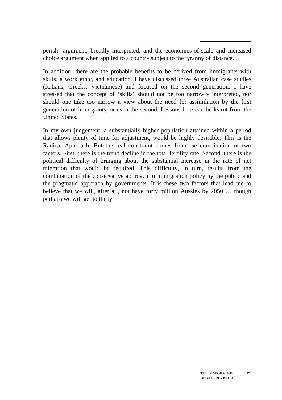perish' argument, broadly interpreted, and the economies-of-scale and increased choice argument when applied to a country subject to the tyranny of distance.

In addition, there are the probable benefits to be derived from immigrants with skills, a work ethic, and education. I have discussed three Australian case studies (Italians, Greeks, Vietnamese) and focused on the second generation. I have stressed that the concept of 'skills' should not be too narrowly interpreted, nor should one take too narrow a view about the need for assimilation by the first generation of immigrants, or even the second. Lessons here can be learnt from the United States.

In my own judgement, a substantially higher population attained within a period that allows plenty of time for adjustment, would be highly desirable. This is the Radical Approach. But the real constraint comes from the combination of two factors. First, there is the trend decline in the total fertility rate. Second, there is the political difficulty of bringing about the substantial increase in the rate of net migration that would be required. This difficulty, in turn, results from the combination of the conservative approach to immigration policy by the public and the pragmatic approach by governments. It is these two factors that lead me to believe that we will, after all, not have forty million Aussies by 2050 … though perhaps we will get to thirty.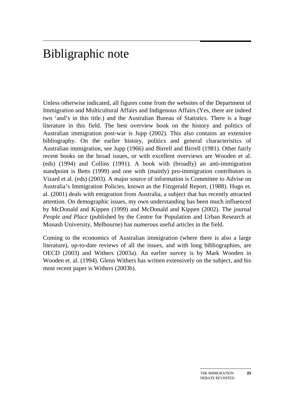# Bibligraphic note

Unless otherwise indicated, all figures come from the websites of the Department of Immigration and Multicultural Affairs and Indigenous Affairs (Yes, there are indeed two 'and's in this title.) and the Australian Bureau of Statistics. There is a huge literature in this field. The best overview book on the history and politics of Australian immigration post-war is Jupp (2002). This also contains an extensive bibliography. On the earlier history, politics and general characteristics of Australian immigration, see Jupp (1966) and Birrell and Birrell (1981). Other fairly recent books on the broad issues, or with excellent overviews are Wooden et al. (eds) (1994) and Collins (1991). A book with (broadly) an anti-immigration standpoint is Betts (1999) and one with (mainly) pro-immigration contributors is Vizard et al. (eds) (2003). A major source of information is Committee to Advise on Australia's Immigration Policies, known as the Fitzgerald Report, (1988). Hugo et. al. (2001) deals with emigration from Australia, a subject that has recently attracted attention. On demographic issues, my own understanding has been much influenced by McDonald and Kippen (1999) and McDonald and Kippen (2002). The journal *People and Place* (published by the Centre for Population and Urban Research at Monash University, Melbourne) has numerous useful articles in the field.

Coming to the economics of Australian immigration (where there is also a large literature), up-to-date reviews of all the issues, and with long bibliographies, are OECD (2003) and Withers (2003a). An earlier survey is by Mark Wooden in Wooden et. al. (1994). Glenn Withers has written extensively on the subject, and his most recent paper is Withers (2003b).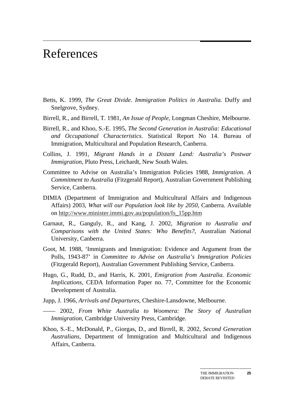# References

- Betts, K. 1999, *The Great Divide. Immigration Politics in Australia.* Duffy and Snelgrove, Sydney.
- Birrell, R., and Birrell, T. 1981, *An Issue of People*, Longman Cheshire, Melbourne.
- Birrell, R., and Khoo, S.-E. 1995, *The Second Generation in Australia: Educational and Occupational Characteristics*. Statistical Report No 14. Bureau of Immigration, Multicultural and Population Research, Canberra.
- Collins, J. 1991*, Migrant Hands in a Distant Land: Australia's Postwar Immigration*, Pluto Press, Leichardt, New South Wales.
- Committee to Advise on Australia's Immigration Policies 1988, *Immigration. A Commitment to Australia* (Fitzgerald Report), Australian Government Publishing Service, Canberra.
- DIMIA (Department of Immigration and Multicultural Affairs and Indigenous Affairs) 2003, *What will our Population look like by 2050*, Canberra. Available on http://www.minister.immi.gov.au/population/fs\_15pp.htm
- Garnaut, R., Ganguly, R., and Kang, J. 2002, *Migration to Australia and Comparisons with the United States: Who Benefits?*, Australian National University, Canberra.
- Goot, M. 1988, 'Immigrants and Immigration: Evidence and Argument from the Polls, 1943-87' in *Committee to Advise on Australia's Immigration Policies* (Fitzgerald Report), Australian Government Publishing Service, Canberra.
- Hugo, G., Rudd, D., and Harris, K. 2001, *Emigration from Australia. Economic Implications,* CEDA Information Paper no. 77, Committee for the Economic Development of Australia.
- Jupp, J. 1966, *Arrivals and Departures*, Cheshire-Lansdowne, Melbourne.
- —— 2002, *From White Australia to Woomera: The Story of Australian Immigration,* Cambridge University Press, Cambridge.
- Khoo, S.-E., McDonald, P., Giorgas, D., and Birrell, R. 2002, *Second Generation Australians*, Department of Immigration and Multicultural and Indigenous Affairs, Canberra.